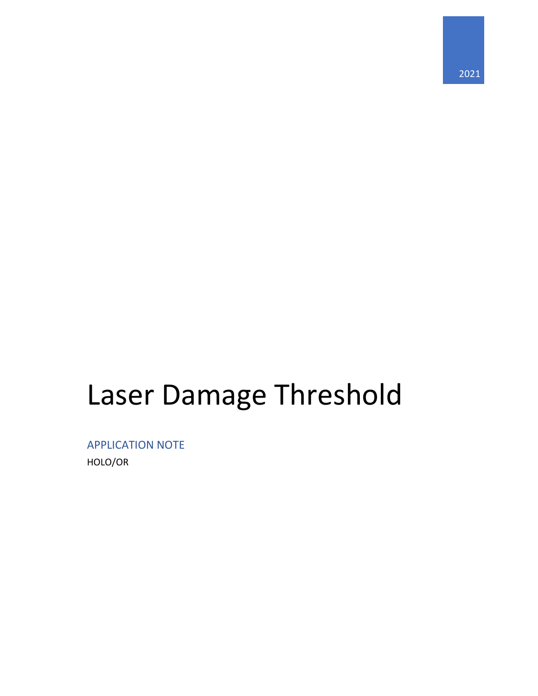# Laser Damage Threshold

APPLICATION NOTE HOLO/OR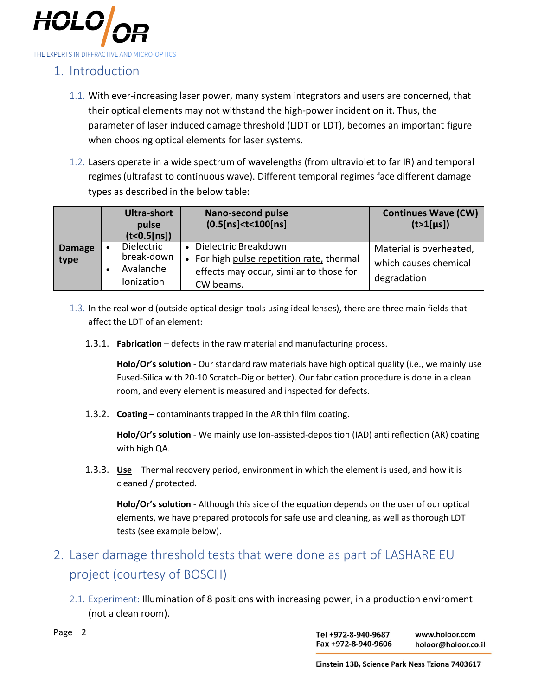

## 1. Introduction

- 1.1. With ever-increasing laser power, many system integrators and users are concerned, that their optical elements may not withstand the high-power incident on it. Thus, the parameter of laser induced damage threshold (LIDT or LDT), becomes an important figure when choosing optical elements for laser systems.
- 1.2. Lasers operate in a wide spectrum of wavelengths (from ultraviolet to far IR) and temporal regimes (ultrafast to continuous wave). Different temporal regimes face different damage types as described in the below table:

|                       | Ultra-short<br>pulse<br>(t < 0.5[ns])               | <b>Nano-second pulse</b><br>(0.5[ns] <t<100[ns]< th=""><th><b>Continues Wave (CW)</b><br/><math>(t&gt;1[\mu s])</math></th></t<100[ns]<> | <b>Continues Wave (CW)</b><br>$(t>1[\mu s])$                    |
|-----------------------|-----------------------------------------------------|------------------------------------------------------------------------------------------------------------------------------------------|-----------------------------------------------------------------|
| <b>Damage</b><br>type | Dielectric<br>break-down<br>Avalanche<br>Ionization | Dielectric Breakdown<br>• For high pulse repetition rate, thermal<br>effects may occur, similar to those for<br>CW beams.                | Material is overheated,<br>which causes chemical<br>degradation |

- 1.3. In the real world (outside optical design tools using ideal lenses), there are three main fields that affect the LDT of an element:
	- 1.3.1. **Fabrication** defects in the raw material and manufacturing process.

**Holo/Or's solution** - Our standard raw materials have high optical quality (i.e., we mainly use Fused-Silica with 20-10 Scratch-Dig or better). Our fabrication procedure is done in a clean room, and every element is measured and inspected for defects.

1.3.2. **Coating** – contaminants trapped in the AR thin film coating.

**Holo/Or's solution** - We mainly use Ion-assisted-deposition (IAD) anti reflection (AR) coating with high QA.

1.3.3. **Use** – Thermal recovery period, environment in which the element is used, and how it is cleaned / protected.

**Holo/Or's solution** - Although this side of the equation depends on the user of our optical elements, we have prepared protocols for safe use and cleaning, as well as thorough LDT tests (see example below).

## 2. Laser damage threshold tests that were done as part of LASHARE EU project (courtesy of BOSCH)

2.1. Experiment: Illumination of 8 positions with increasing power, in a production enviroment (not a clean room).

Page | 2

Tel +972-8-940-9687 www.holoor.com Fax +972-8-940-9606 holoor@holoor.co.il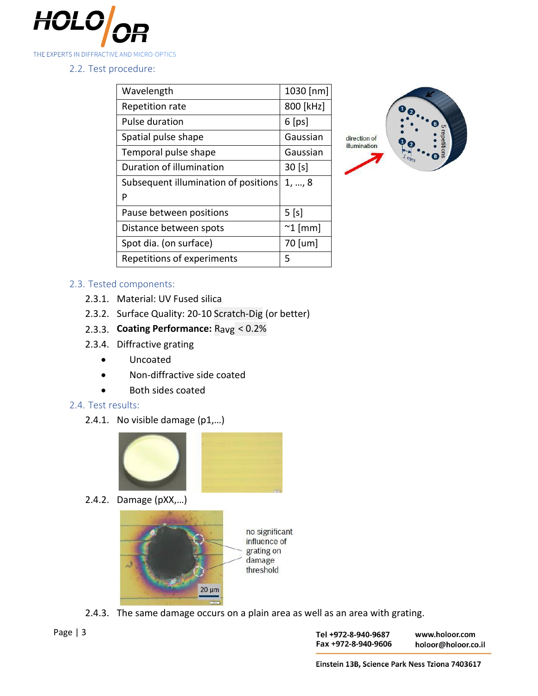

2.2. Test procedure:

| Wavelength                           | 1030 [nm]        |
|--------------------------------------|------------------|
| Repetition rate                      | 800 [kHz]        |
| <b>Pulse duration</b>                | $6$ [ps]         |
| Spatial pulse shape                  | Gaussian         |
| Temporal pulse shape                 | Gaussian         |
| Duration of illumination             | $30$ [s]         |
| Subsequent illumination of positions | 1, , 8           |
| P                                    |                  |
|                                      |                  |
| Pause between positions              | $5$ [s]          |
| Distance between spots               | $^{\sim}$ 1 [mm] |
| Spot dia. (on surface)               | 70 [um]          |



#### 2.3. Tested components:

- 2.3.1. Material: UV Fused silica
- 2.3.2. Surface Quality: 20-10 Scratch-Dig (or better)
- 2.3.3. **Coating Performance:** Ravg < 0.2%
- 2.3.4. Diffractive grating
	- Uncoated
	- Non-diffractive side coated
	- Both sides coated

#### 2.4. Test results:

2.4.1. No visible damage (p1,…)



2.4.2. Damage (pXX,…)



2.4.3. The same damage occurs on a plain area as well as an area with grating.

Tel +972-8-940-9687 Fax +972-8-940-9606

www.holoor.com holoor@holoor.co.il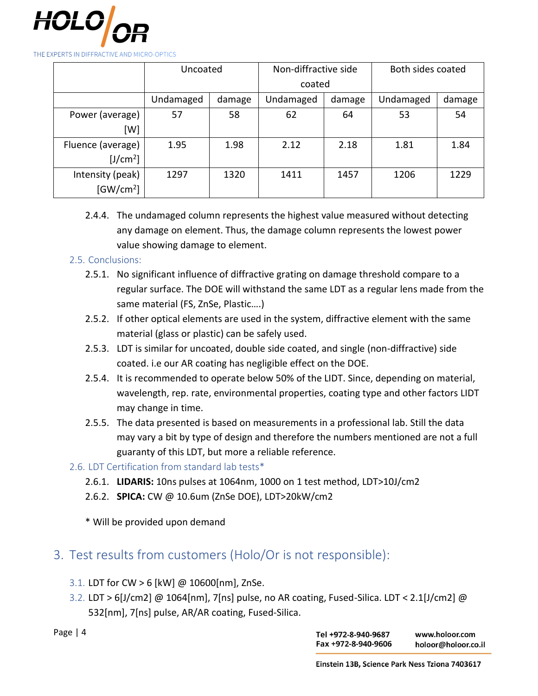

THE EXPERTS IN DIFFRACTIVE AND MICRO-OPTICS

|                       | Uncoated  |        | Non-diffractive side |        | Both sides coated |        |
|-----------------------|-----------|--------|----------------------|--------|-------------------|--------|
|                       |           |        | coated               |        |                   |        |
|                       | Undamaged | damage | Undamaged            | damage | Undamaged         | damage |
| Power (average)       | 57        | 58     | 62                   | 64     | 53                | 54     |
| [W]                   |           |        |                      |        |                   |        |
| Fluence (average)     | 1.95      | 1.98   | 2.12                 | 2.18   | 1.81              | 1.84   |
| [J/cm <sup>2</sup> ]  |           |        |                      |        |                   |        |
| Intensity (peak)      | 1297      | 1320   | 1411                 | 1457   | 1206              | 1229   |
| [GW/cm <sup>2</sup> ] |           |        |                      |        |                   |        |

2.4.4. The undamaged column represents the highest value measured without detecting any damage on element. Thus, the damage column represents the lowest power value showing damage to element.

#### 2.5. Conclusions:

- 2.5.1. No significant influence of diffractive grating on damage threshold compare to a regular surface. The DOE will withstand the same LDT as a regular lens made from the same material (FS, ZnSe, Plastic….)
- 2.5.2. If other optical elements are used in the system, diffractive element with the same material (glass or plastic) can be safely used.
- 2.5.3. LDT is similar for uncoated, double side coated, and single (non-diffractive) side coated. i.e our AR coating has negligible effect on the DOE.
- 2.5.4. It is recommended to operate below 50% of the LIDT. Since, depending on material, wavelength, rep. rate, environmental properties, coating type and other factors LIDT may change in time.
- 2.5.5. The data presented is based on measurements in a professional lab. Still the data may vary a bit by type of design and therefore the numbers mentioned are not a full guaranty of this LDT, but more a reliable reference.
- 2.6. LDT Certification from standard lab tests\*
	- 2.6.1. **LIDARIS:** 10ns pulses at 1064nm, 1000 on 1 test method, LDT>10J/cm2
	- 2.6.2. **SPICA:** CW @ 10.6um (ZnSe DOE), LDT>20kW/cm2
	- \* Will be provided upon demand

### 3. Test results from customers (Holo/Or is not responsible):

- 3.1. LDT for CW > 6 [kW] @ 10600[nm], ZnSe.
- 3.2. LDT > 6[J/cm2] @ 1064[nm], 7[ns] pulse, no AR coating, Fused-Silica. LDT < 2.1[J/cm2] @ 532[nm], 7[ns] pulse, AR/AR coating, Fused-Silica.

Page | 4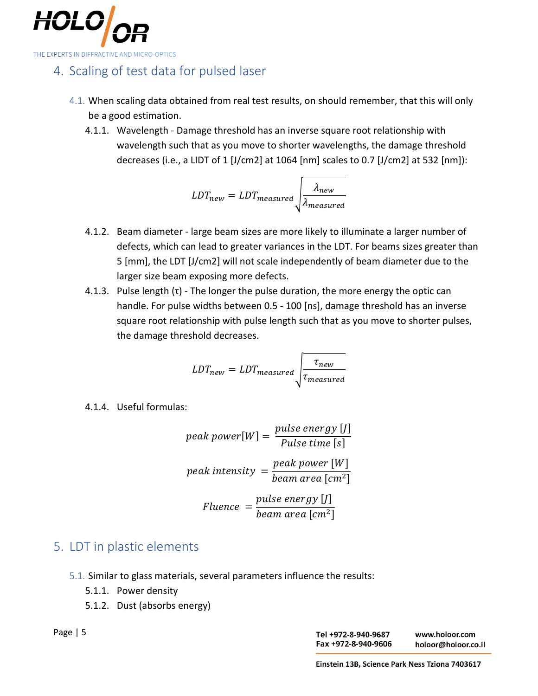

## 4. Scaling of test data for pulsed laser

- 4.1. When scaling data obtained from real test results, on should remember, that this will only be a good estimation.
	- 4.1.1. Wavelength Damage threshold has an inverse square root relationship with wavelength such that as you move to shorter wavelengths, the damage threshold decreases (i.e., a LIDT of 1 [J/cm2] at 1064 [nm] scales to 0.7 [J/cm2] at 532 [nm]):

$$
LDT_{new} = LDT_{measured} \sqrt{\frac{\lambda_{new}}{\lambda_{measured}}}
$$

- 4.1.2. Beam diameter large beam sizes are more likely to illuminate a larger number of defects, which can lead to greater variances in the LDT. For beams sizes greater than 5 [mm], the LDT [J/cm2] will not scale independently of beam diameter due to the larger size beam exposing more defects.
- 4.1.3. Pulse length  $(\tau)$  The longer the pulse duration, the more energy the optic can handle. For pulse widths between 0.5 - 100 [ns], damage threshold has an inverse square root relationship with pulse length such that as you move to shorter pulses, the damage threshold decreases.

$$
LDT_{new} = LDT_{measured} \sqrt{\frac{\tau_{new}}{\tau_{measured}}}
$$

4.1.4. Useful formulas:

peak power[W] = 
$$
\frac{pulse\ energy [J]}{pulse\ time [s]}
$$
  
peak intensity = 
$$
\frac{peak\ power [W]}{beam\ area [cm^2]}
$$
  
Fluence = 
$$
\frac{pulse\ energy [J]}{beam\ area [cm^2]}
$$

## 5. LDT in plastic elements

- 5.1. Similar to glass materials, several parameters influence the results:
	- 5.1.1. Power density
	- 5.1.2. Dust (absorbs energy)

Page | 5